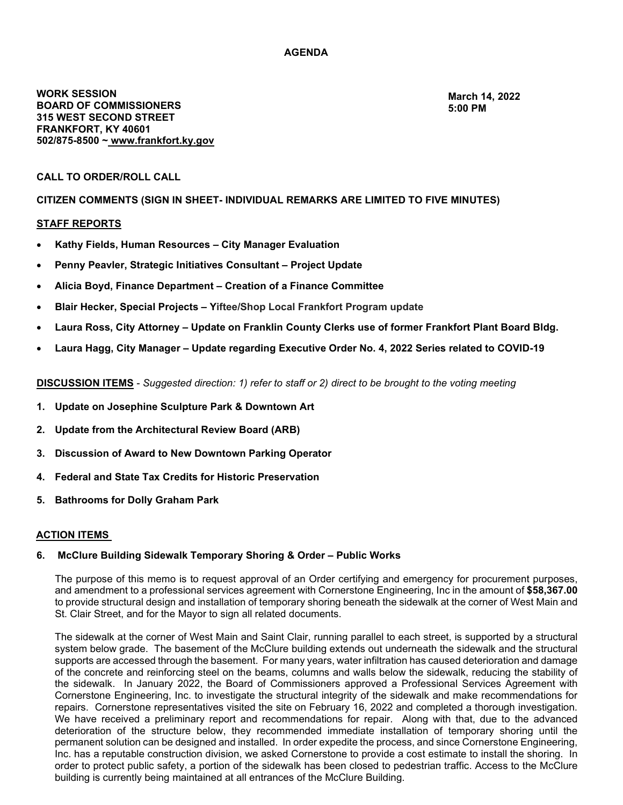# **AGENDA**

**WORK SESSION BOARD OF COMMISSIONERS 315 WEST SECOND STREET FRANKFORT, KY 40601 502/8758500 ~ [www.frankfort.ky.gov](http://www.frankfort.ky.gov/)**

**March 14, [2022](http://www.frankfort.ky.gov/) [5:00 PM](http://www.frankfort.ky.gov/)**

### **CALL TO ORDER/ROLL CALL**

### **CITIZEN COMMENTS (SIGN IN SHEET- INDIVIDUAL REMARKS ARE LIMITED TO FIVE MINUTES)**

## **STAFF REPORTS**

- **Kathy Fields, Human Resources – City Manager Evaluation**
- **Penny Peavler, Strategic Initiatives Consultant – Project Update**
- **Alicia Boyd, Finance Department – Creation of a Finance Committee**
- **Blair Hecker, Special Projects – Yiftee/Shop Local Frankfort Program update**
- **Laura Ross, City Attorney – Update on Franklin County Clerks use of former Frankfort Plant Board Bldg.**
- **Laura Hagg, City Manager – Update regarding Executive Order No. 4, 2022 Series related to COVID-19**

**DISCUSSION ITEMS** *Suggested direction: 1) refer to staff or 2) direct to be brought to the voting meeting*

- **1. Update on Josephine Sculpture Park & Downtown Art**
- **2. Update from the Architectural Review Board (ARB)**
- **3. Discussion of Award to New Downtown Parking Operator**
- **4. Federal and State Tax Credits for Historic Preservation**
- **5. Bathrooms for Dolly Graham Park**

#### **ACTION ITEMS**

#### **6. McClure Building Sidewalk Temporary Shoring & Order – Public Works**

The purpose of this memo is to request approval of an Order certifying and emergency for procurement purposes, and amendment to a professional services agreement with Cornerstone Engineering, Inc in the amount of **\$58,367.00** to provide structural design and installation of temporary shoring beneath the sidewalk at the corner of West Main and St. Clair Street, and for the Mayor to sign all related documents.

The sidewalk at the corner of West Main and Saint Clair, running parallel to each street, is supported by a structural system below grade. The basement of the McClure building extends out underneath the sidewalk and the structural supports are accessed through the basement. For many years, water infiltration has caused deterioration and damage of the concrete and reinforcing steel on the beams, columns and walls below the sidewalk, reducing the stability of the sidewalk. In January 2022, the Board of Commissioners approved a Professional Services Agreement with Cornerstone Engineering, Inc. to investigate the structural integrity of the sidewalk and make recommendations for repairs. Cornerstone representatives visited the site on February 16, 2022 and completed a thorough investigation. We have received a preliminary report and recommendations for repair. Along with that, due to the advanced deterioration of the structure below, they recommended immediate installation of temporary shoring until the permanent solution can be designed and installed. In order expedite the process, and since Cornerstone Engineering, Inc. has a reputable construction division, we asked Cornerstone to provide a cost estimate to install the shoring. In order to protect public safety, a portion of the sidewalk has been closed to pedestrian traffic. Access to the McClure building is currently being maintained at all entrances of the McClure Building.